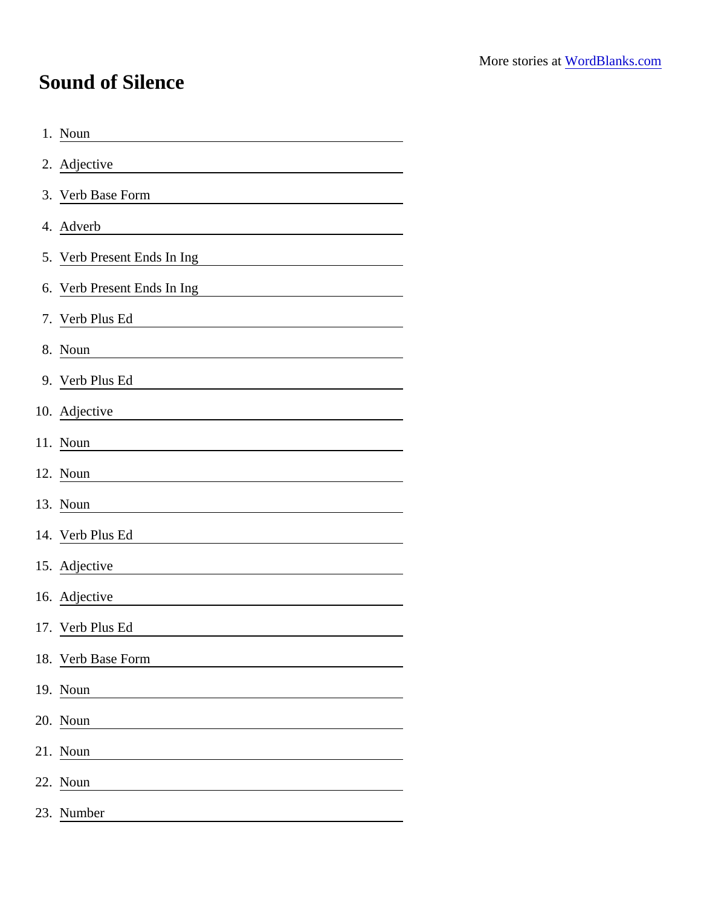## Sound of Silence

| 1. Noun                     |
|-----------------------------|
| 2. Adjective                |
| 3. Verb Base Form           |
| 4. Adverb                   |
| 5. Verb Present Ends In Ing |
| 6. Verb Present Ends In Ing |
| 7. Verb Plus Ed             |
| 8. Noun                     |
| 9. Verb Plus Ed             |
| 10. Adjective               |
| 11. Noun                    |
| 12. Noun                    |
| 13. Noun                    |
| 14. Verb Plus Ed            |
| 15. Adjective               |
| 16. Adjective               |
| 17. Verb Plus Ed            |
| 18. Verb Base Form          |
| 19. Noun                    |
| 20. Noun                    |
| 21. Noun                    |
| 22. Noun                    |
| 23. Number                  |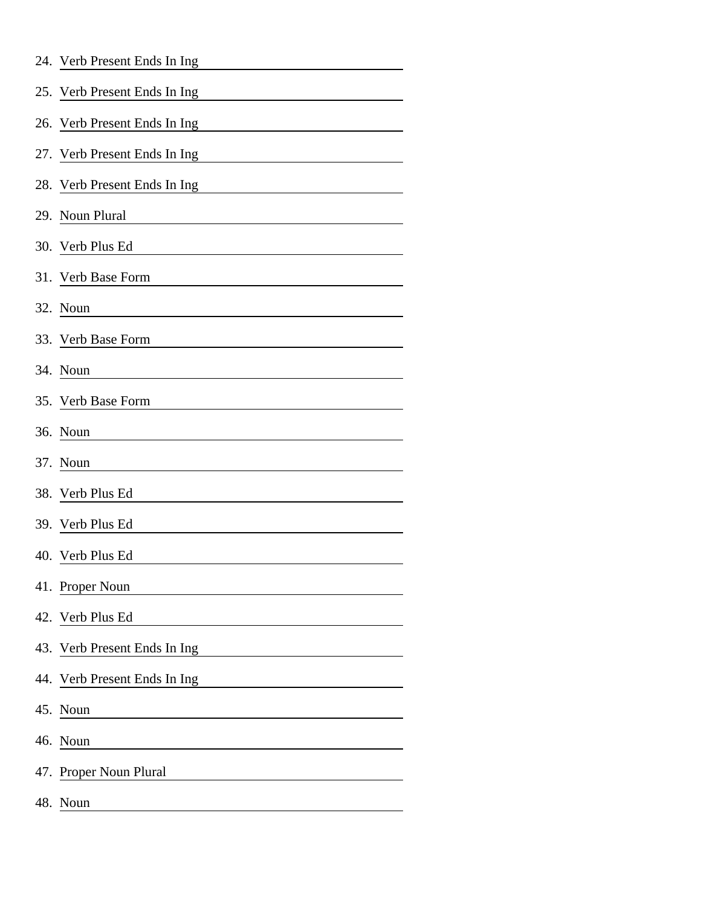|     | 24. Verb Present Ends In Ing                                                                                                                          |
|-----|-------------------------------------------------------------------------------------------------------------------------------------------------------|
|     | 25. Verb Present Ends In Ing                                                                                                                          |
|     | 26. Verb Present Ends In Ing                                                                                                                          |
|     | 27. Verb Present Ends In Ing                                                                                                                          |
|     | 28. Verb Present Ends In Ing                                                                                                                          |
|     | 29. Noun Plural<br><u> 1980 - Andrea Andrew Maria (h. 1980).</u>                                                                                      |
|     | 30. Verb Plus Ed                                                                                                                                      |
|     | 31. Verb Base Form                                                                                                                                    |
|     | 32. Noun                                                                                                                                              |
|     | 33. Verb Base Form                                                                                                                                    |
|     | 34. Noun                                                                                                                                              |
|     | 35. Verb Base Form                                                                                                                                    |
|     | 36. Noun                                                                                                                                              |
|     | 37. Noun<br><u> 1989 - Johann Harry Harry Harry Harry Harry Harry Harry Harry Harry Harry Harry Harry Harry Harry Harry Harry</u>                     |
|     | 38. Verb Plus Ed                                                                                                                                      |
|     | 39. Verb Plus Ed                                                                                                                                      |
|     | 40. Verb Plus Ed                                                                                                                                      |
|     | 41. Proper Noun                                                                                                                                       |
|     | 42. Verb Plus Ed                                                                                                                                      |
|     | 43. Verb Present Ends In Ing<br><u> 1989 - John Stein, mars and de Branch and de Branch and de Branch and de Branch and de Branch and de Branch a</u> |
|     | 44. Verb Present Ends In Ing                                                                                                                          |
|     | 45. Noun                                                                                                                                              |
|     | 46. Noun                                                                                                                                              |
|     | 47. Proper Noun Plural                                                                                                                                |
| 48. | Noun                                                                                                                                                  |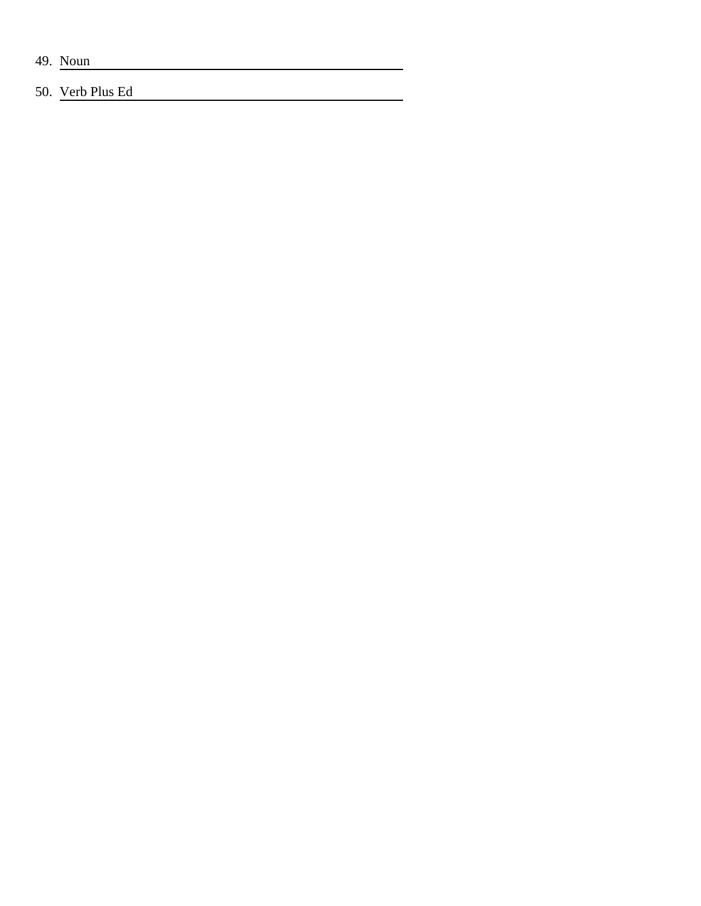49. Noun

## 50. Verb Plus Ed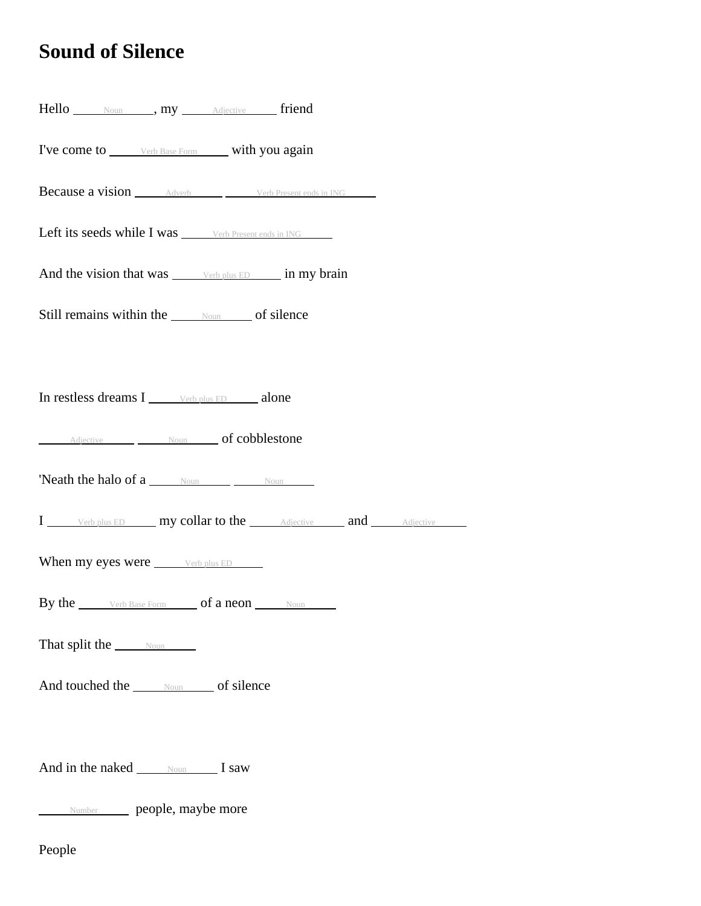## **Sound of Silence**

| Hello Noun my Adjective friend                             |
|------------------------------------------------------------|
| I've come to verb Base Form with you again                 |
| <b>Because a vision</b> Adverb Verb Present ends in ING    |
| Left its seeds while I was <u>verb Present ends in ING</u> |
| And the vision that was verb plus ED in my brain           |
| Still remains within the Noun of silence                   |
|                                                            |
| In restless dreams I verb plus ED alone                    |
| Adjective Moun of cobblestone                              |
| <b>'Neath the halo of a</b> $\frac{Noun}{Noun}$ Noun       |
| I Verb plus ED my collar to the Adjective and Adjective    |
| When my eyes were <u>verb plus ED</u>                      |
| By the verb Base Form of a neon Noun                       |
| That split the Noun                                        |
| And touched the <u>soun</u> of silence                     |
|                                                            |
| And in the naked Noun I saw                                |
| Number people, maybe more                                  |

People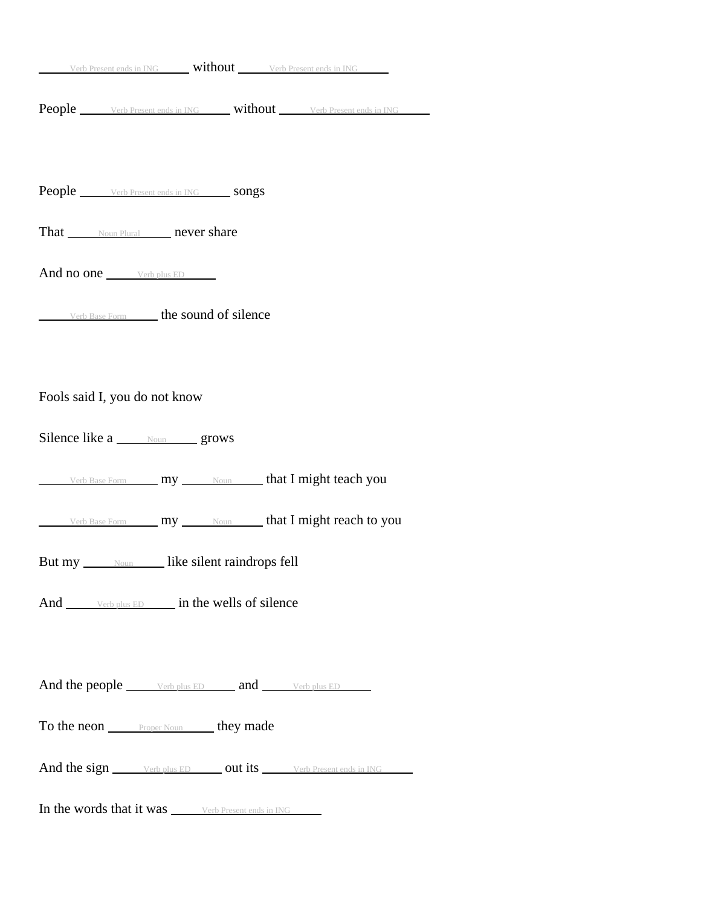| Verb Present ends in ING <b>Without</b> Verb Present ends in ING                                            |
|-------------------------------------------------------------------------------------------------------------|
| <b>People</b> Verb Present ends in ING <b>Without</b> Verb Present ends in ING                              |
| <b>People</b> <u>verb Present ends in ING</u> songs                                                         |
| That Noun Plural never share                                                                                |
| And no one <u>verb plus ED</u>                                                                              |
| Verb Base Form <b>the sound of silence</b>                                                                  |
|                                                                                                             |
| Fools said I, you do not know                                                                               |
| Silence like a <u>wounded</u> grows                                                                         |
| Verb Base Form <b>my</b> Noun <b> that I might teach you</b>                                                |
| Verb Base Form <b>my</b> Noun <b>th Contains 1 might reach to you</b>                                       |
| But my Noun like silent raindrops fell                                                                      |
| And verb plus ED in the wells of silence                                                                    |
|                                                                                                             |
| And the people verb plus ED and verb plus ED verb plus ED                                                   |
| To the neon <b>Front Noun</b> they made                                                                     |
| And the sign _______ Verb plus ED ______ out its _______ Verb Present ends in ING                           |
| In the words that it was $\frac{\qquad \qquad \text{Verb Present ends in ING}}{\qquad \qquad \text{Note:}}$ |